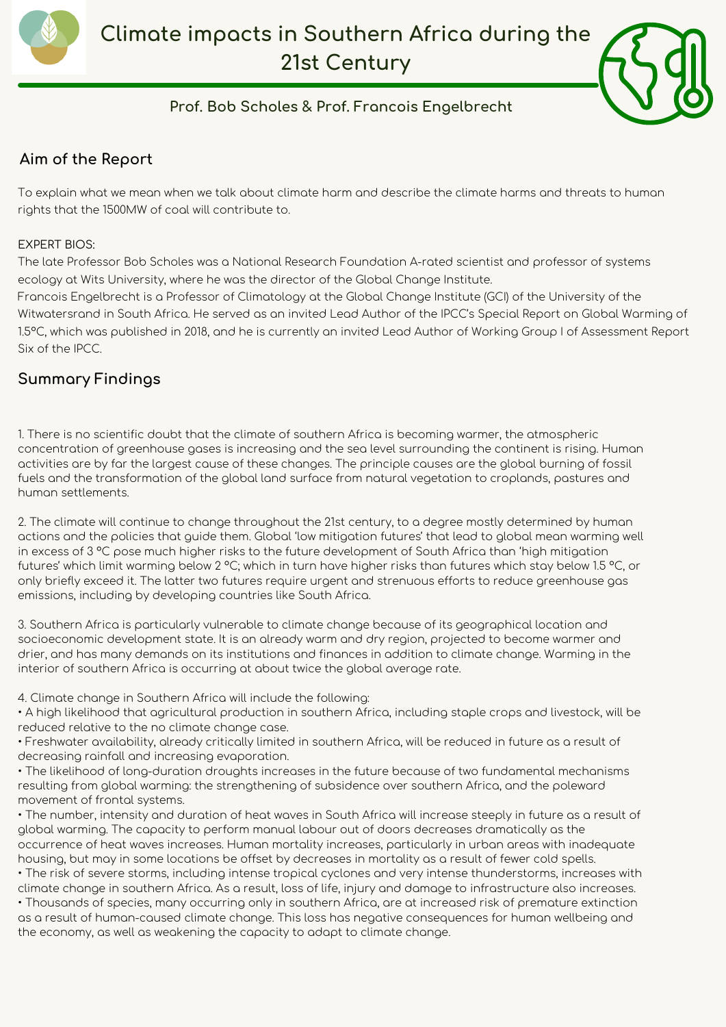



**Prof. Bob Scholes & Prof. Francois Engelbrecht**

## **Aim of the Report**

To explain what we mean when we talk about climate harm and describe the climate harms and threats to human rights that the 1500MW of coal will contribute to.

#### EXPERT BIOS:

The late Professor Bob Scholes was a National Research Foundation A-rated scientist and professor of systems ecology at Wits University, where he was the director of the Global Change Institute.

Francois Engelbrecht is a Professor of Climatology at the Global Change Institute (GCI) of the University of the Witwatersrand in South Africa. He served as an invited Lead Author of the IPCC's Special Report on Global Warming of 1.5°C, which was published in 2018, and he is currently an invited Lead Author of Working Group I of Assessment Report Six of the IPCC.

# **Summary Findings**

1. There is no scientific doubt that the climate of southern Africa is becoming warmer, the atmospheric concentration of greenhouse gases is increasing and the sea level surrounding the continent is rising. Human activities are by far the largest cause of these changes. The principle causes are the global burning of fossil fuels and the transformation of the global land surface from natural vegetation to croplands, pastures and human settlements.

2. The climate will continue to change throughout the 21st century, to a degree mostly determined by human actions and the policies that guide them. Global 'low mitigation futures' that lead to global mean warming well in excess of  $3^{\circ}$ C pose much higher risks to the future development of South Africa than 'high mitigation futures' which limit warming below 2 °C; which in turn have higher risks than futures which stay below 1.5 °C, or only briefly exceed it. The latter two futures require urgent and strenuous efforts to reduce greenhouse gas emissions, including by developing countries like South Africa.

3. Southern Africa is particularly vulnerable to climate change because of its geographical location and socioeconomic development state. It is an already warm and dry region, projected to become warmer and drier, and has many demands on its institutions and finances in addition to climate change. Warming in the interior of southern Africa is occurring at about twice the global average rate.

4. Climate change in Southern Africa will include the following:

• A high likelihood that agricultural production in southern Africa, including staple crops and livestock, will be reduced relative to the no climate change case.

• Freshwater availability, already critically limited in southern Africa, will be reduced in future as a result of decreasing rainfall and increasing evaporation.

• The likelihood of long-duration droughts increases in the future because of two fundamental mechanisms resulting from global warming: the strengthening of subsidence over southern Africa, and the poleward movement of frontal systems.

• The number, intensity and duration of heat waves in South Africa will increase steeply in future as a result of global warming. The capacity to perform manual labour out of doors decreases dramatically as the occurrence of heat waves increases. Human mortality increases, particularly in urban areas with inadequate housing, but may in some locations be offset by decreases in mortality as a result of fewer cold spells.

• The risk of severe storms, including intense tropical cyclones and very intense thunderstorms, increases with climate change in southern Africa. As a result, loss of life, injury and damage to infrastructure also increases.

• Thousands of species, many occurring only in southern Africa, are at increased risk of premature extinction as a result of human-caused climate change. This loss has negative consequences for human wellbeing and the economy, as well as weakening the capacity to adapt to climate change.